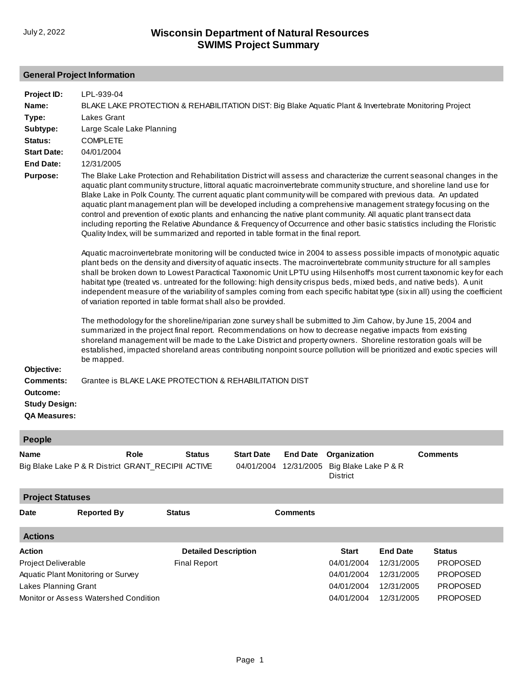## **General Project Information**

| Project ID:          | LPL-939-04                                                                                                                                                                                                                                                                                                                                                                                                                                                                                                                                                                                                                                                                                                                                                                                                                |
|----------------------|---------------------------------------------------------------------------------------------------------------------------------------------------------------------------------------------------------------------------------------------------------------------------------------------------------------------------------------------------------------------------------------------------------------------------------------------------------------------------------------------------------------------------------------------------------------------------------------------------------------------------------------------------------------------------------------------------------------------------------------------------------------------------------------------------------------------------|
| Name:                | BLAKE LAKE PROTECTION & REHABILITATION DIST: Big Blake Aquatic Plant & Invertebrate Monitoring Project                                                                                                                                                                                                                                                                                                                                                                                                                                                                                                                                                                                                                                                                                                                    |
| Type:                | <b>Lakes Grant</b>                                                                                                                                                                                                                                                                                                                                                                                                                                                                                                                                                                                                                                                                                                                                                                                                        |
| Subtype:             | Large Scale Lake Planning                                                                                                                                                                                                                                                                                                                                                                                                                                                                                                                                                                                                                                                                                                                                                                                                 |
| Status:              | <b>COMPLETE</b>                                                                                                                                                                                                                                                                                                                                                                                                                                                                                                                                                                                                                                                                                                                                                                                                           |
| <b>Start Date:</b>   | 04/01/2004                                                                                                                                                                                                                                                                                                                                                                                                                                                                                                                                                                                                                                                                                                                                                                                                                |
| <b>End Date:</b>     | 12/31/2005                                                                                                                                                                                                                                                                                                                                                                                                                                                                                                                                                                                                                                                                                                                                                                                                                |
| Purpose:             | The Blake Lake Protection and Rehabilitation District will assess and characterize the current seasonal changes in the<br>aquatic plant community structure, littoral aquatic macroinvertebrate community structure, and shoreline land use for<br>Blake Lake in Polk County. The current aquatic plant community will be compared with previous data. An updated<br>aquatic plant management plan will be developed including a comprehensive management strategy focusing on the<br>control and prevention of exotic plants and enhancing the native plant community. All aquatic plant transect data<br>including reporting the Relative Abundance & Frequency of Occurrence and other basic statistics including the Floristic<br>Quality Index, will be summarized and reported in table format in the final report. |
|                      | Aquatic macroinvertebrate monitoring will be conducted twice in 2004 to assess possible impacts of monotypic aquatic<br>plant beds on the density and diversity of aquatic insects. The macroinvertebrate community structure for all samples<br>shall be broken down to Lowest Paractical Taxonomic Unit LPTU using Hilsenhoff's most current taxonomic key for each<br>habitat type (treated vs. untreated for the following: high density crispus beds, mixed beds, and native beds). A unit<br>independent measure of the variability of samples coming from each specific habitat type (six in all) using the coefficient<br>of variation reported in table format shall also be provided.                                                                                                                           |
|                      | The methodology for the shoreline/riparian zone survey shall be submitted to Jim Cahow, by June 15, 2004 and<br>summarized in the project final report. Recommendations on how to decrease negative impacts from existing<br>shoreland management will be made to the Lake District and property owners. Shoreline restoration goals will be<br>established, impacted shoreland areas contributing nonpoint source pollution will be prioritized and exotic species will<br>be mapped.                                                                                                                                                                                                                                                                                                                                    |
| Objective:           |                                                                                                                                                                                                                                                                                                                                                                                                                                                                                                                                                                                                                                                                                                                                                                                                                           |
| <b>Comments:</b>     | Grantee is BLAKE LAKE PROTECTION & REHABILITATION DIST                                                                                                                                                                                                                                                                                                                                                                                                                                                                                                                                                                                                                                                                                                                                                                    |
| Outcome:             |                                                                                                                                                                                                                                                                                                                                                                                                                                                                                                                                                                                                                                                                                                                                                                                                                           |
| <b>Study Design:</b> |                                                                                                                                                                                                                                                                                                                                                                                                                                                                                                                                                                                                                                                                                                                                                                                                                           |
| <b>QA Measures:</b>  |                                                                                                                                                                                                                                                                                                                                                                                                                                                                                                                                                                                                                                                                                                                                                                                                                           |

| <b>People</b> |  |
|---------------|--|
|               |  |

| <b>Name</b>                        |                                       | <b>Start Date</b><br><b>End Date</b><br>Organization<br>Role<br><b>Status</b><br>Big Blake Lake P & R<br>Big Blake Lake P & R District GRANT RECIPII ACTIVE<br>04/01/2004<br>12/31/2005<br><b>District</b> |                             |                 | <b>Comments</b> |                 |                 |  |
|------------------------------------|---------------------------------------|------------------------------------------------------------------------------------------------------------------------------------------------------------------------------------------------------------|-----------------------------|-----------------|-----------------|-----------------|-----------------|--|
| <b>Project Statuses</b>            |                                       |                                                                                                                                                                                                            |                             |                 |                 |                 |                 |  |
| <b>Date</b>                        | <b>Reported By</b>                    | <b>Status</b>                                                                                                                                                                                              |                             | <b>Comments</b> |                 |                 |                 |  |
| <b>Actions</b>                     |                                       |                                                                                                                                                                                                            |                             |                 |                 |                 |                 |  |
| <b>Action</b>                      |                                       |                                                                                                                                                                                                            | <b>Detailed Description</b> |                 | <b>Start</b>    | <b>End Date</b> | <b>Status</b>   |  |
| Project Deliverable                |                                       |                                                                                                                                                                                                            | <b>Final Report</b>         |                 | 04/01/2004      | 12/31/2005      | <b>PROPOSED</b> |  |
| Aquatic Plant Monitoring or Survey |                                       |                                                                                                                                                                                                            |                             |                 | 04/01/2004      | 12/31/2005      | <b>PROPOSED</b> |  |
| Lakes Planning Grant               |                                       |                                                                                                                                                                                                            |                             |                 | 04/01/2004      | 12/31/2005      | <b>PROPOSED</b> |  |
|                                    | Monitor or Assess Watershed Condition |                                                                                                                                                                                                            |                             |                 | 04/01/2004      | 12/31/2005      | <b>PROPOSED</b> |  |
|                                    |                                       |                                                                                                                                                                                                            |                             |                 |                 |                 |                 |  |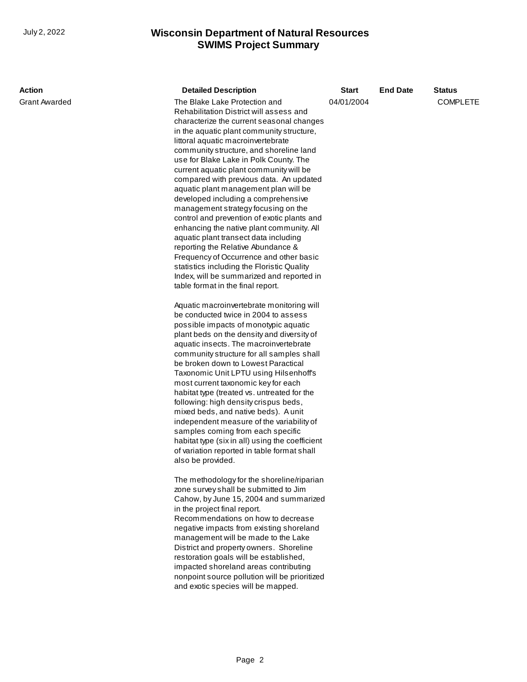## **SWIMS Project Summary** July 2, 2022 **Wisconsin Department of Natural Resources**

| Action        | <b>Detailed Description</b>                                                                                                                                                                                                                                                                                                                                                                                                                                                                                                                                                                                                                                                                                                                                                                                                                                                                                                                                                                                                                                                                                                                                                                                                                                                                                                                                                                                                                                                                                                                                                     | <b>Start</b> | <b>End Date</b> | <b>Status</b>   |
|---------------|---------------------------------------------------------------------------------------------------------------------------------------------------------------------------------------------------------------------------------------------------------------------------------------------------------------------------------------------------------------------------------------------------------------------------------------------------------------------------------------------------------------------------------------------------------------------------------------------------------------------------------------------------------------------------------------------------------------------------------------------------------------------------------------------------------------------------------------------------------------------------------------------------------------------------------------------------------------------------------------------------------------------------------------------------------------------------------------------------------------------------------------------------------------------------------------------------------------------------------------------------------------------------------------------------------------------------------------------------------------------------------------------------------------------------------------------------------------------------------------------------------------------------------------------------------------------------------|--------------|-----------------|-----------------|
| Grant Awarded | The Blake Lake Protection and<br>Rehabilitation District will assess and<br>characterize the current seasonal changes<br>in the aquatic plant community structure,<br>littoral aquatic macroinvertebrate<br>community structure, and shoreline land<br>use for Blake Lake in Polk County. The<br>current aquatic plant community will be<br>compared with previous data. An updated<br>aquatic plant management plan will be<br>developed including a comprehensive<br>management strategy focusing on the<br>control and prevention of exotic plants and<br>enhancing the native plant community. All<br>aquatic plant transect data including<br>reporting the Relative Abundance &<br>Frequency of Occurrence and other basic<br>statistics including the Floristic Quality<br>Index, will be summarized and reported in<br>table format in the final report.<br>Aquatic macroinvertebrate monitoring will<br>be conducted twice in 2004 to assess<br>possible impacts of monotypic aquatic<br>plant beds on the density and diversity of<br>aquatic insects. The macroinvertebrate<br>community structure for all samples shall<br>be broken down to Lowest Paractical<br>Taxonomic Unit LPTU using Hilsenhoff's<br>most current taxonomic key for each<br>habitat type (treated vs. untreated for the<br>following: high density crispus beds,<br>mixed beds, and native beds). A unit<br>independent measure of the variability of<br>samples coming from each specific<br>habitat type (six in all) using the coefficient<br>of variation reported in table format shall | 04/01/2004   |                 | <b>COMPLETE</b> |
|               | also be provided.<br>The methodology for the shoreline/riparian<br>zone survey shall be submitted to Jim<br>Cahow, by June 15, 2004 and summarized<br>in the project final report.<br>Recommendations on how to decrease<br>negative impacts from existing shoreland<br>management will be made to the Lake<br>District and property owners. Shoreline<br>restoration goals will be established,<br>impacted shoreland areas contributing<br>nonpoint source pollution will be prioritized<br>and exotic species will be mapped.                                                                                                                                                                                                                                                                                                                                                                                                                                                                                                                                                                                                                                                                                                                                                                                                                                                                                                                                                                                                                                                |              |                 |                 |